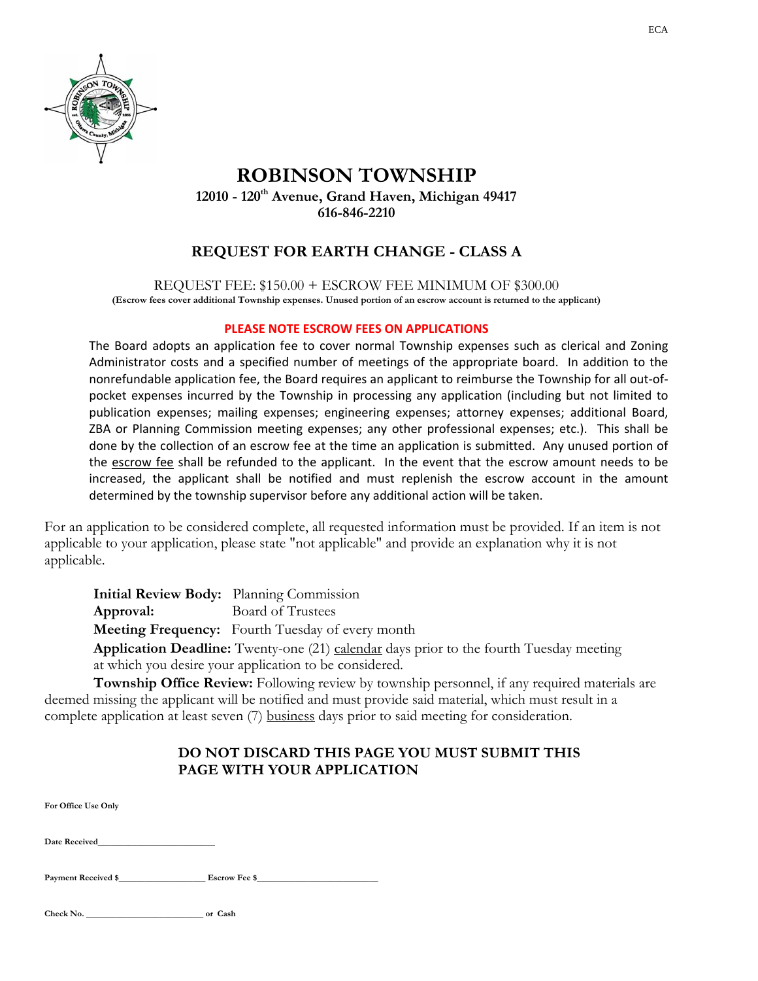

## **ROBINSON TOWNSHIP 12010 - 120th Avenue, Grand Haven, Michigan 49417 616-846-2210**

# **REQUEST FOR EARTH CHANGE - CLASS A**

REQUEST FEE: \$150.00 + ESCROW FEE MINIMUM OF \$300.00 **(Escrow fees cover additional Township expenses. Unused portion of an escrow account is returned to the applicant)** 

### **PLEASE NOTE ESCROW FEES ON APPLICATIONS**

The Board adopts an application fee to cover normal Township expenses such as clerical and Zoning Administrator costs and a specified number of meetings of the appropriate board. In addition to the nonrefundable application fee, the Board requires an applicant to reimburse the Township for all out‐of‐ pocket expenses incurred by the Township in processing any application (including but not limited to publication expenses; mailing expenses; engineering expenses; attorney expenses; additional Board, ZBA or Planning Commission meeting expenses; any other professional expenses; etc.). This shall be done by the collection of an escrow fee at the time an application is submitted. Any unused portion of the escrow fee shall be refunded to the applicant. In the event that the escrow amount needs to be increased, the applicant shall be notified and must replenish the escrow account in the amount determined by the township supervisor before any additional action will be taken.

For an application to be considered complete, all requested information must be provided. If an item is not applicable to your application, please state "not applicable" and provide an explanation why it is not applicable.

 **Initial Review Body:** Planning Commission

**Approval:** Board of Trustees

 **Meeting Frequency:** Fourth Tuesday of every month

**Application Deadline:** Twenty-one (21) calendar days prior to the fourth Tuesday meeting at which you desire your application to be considered.

 **Township Office Review:** Following review by township personnel, if any required materials are deemed missing the applicant will be notified and must provide said material, which must result in a complete application at least seven (7) business days prior to said meeting for consideration.

### **DO NOT DISCARD THIS PAGE YOU MUST SUBMIT THIS PAGE WITH YOUR APPLICATION**

**For Office Use Only** 

**Date Received\_\_\_\_\_\_\_\_\_\_\_\_\_\_\_\_\_\_\_\_\_\_\_\_\_\_\_** 

Payment Received \$\_\_\_\_\_\_\_\_\_\_\_\_\_\_\_\_\_\_\_\_\_\_\_\_\_\_\_\_Escrow Fee \$\_\_\_\_\_\_\_\_\_\_\_\_\_\_\_\_\_\_\_\_\_\_\_

**Check No. \_\_\_\_\_\_\_\_\_\_\_\_\_\_\_\_\_\_\_\_\_\_\_\_\_\_\_ or Cash**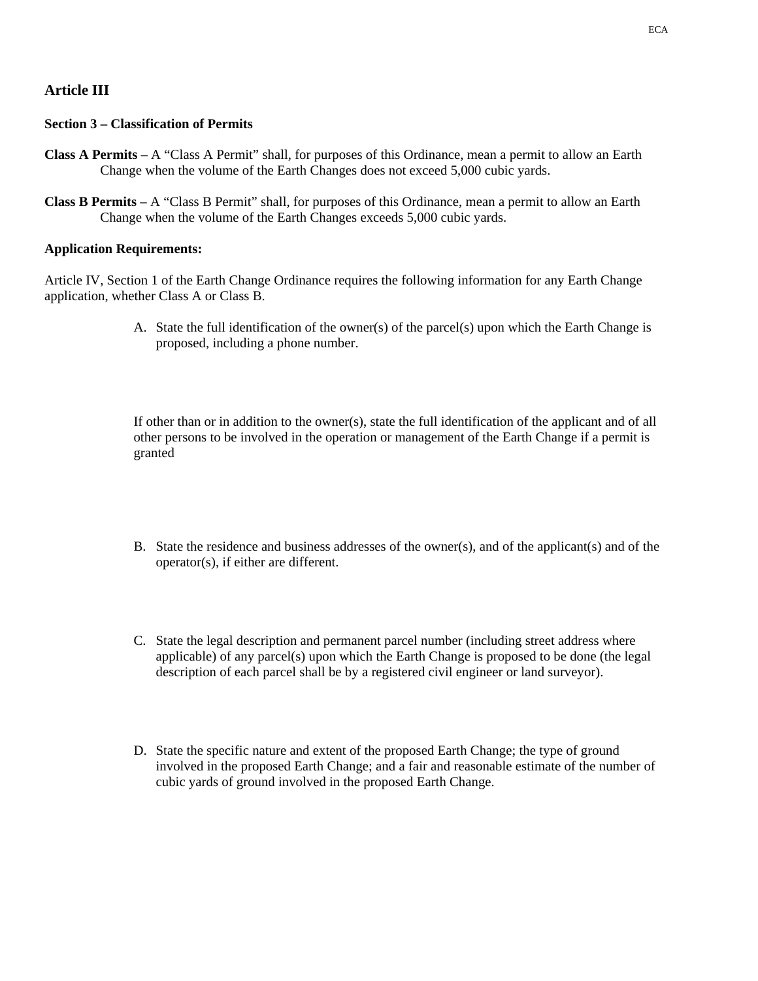### **Article III**

#### **Section 3 – Classification of Permits**

- **Class A Permits** A "Class A Permit" shall, for purposes of this Ordinance, mean a permit to allow an Earth Change when the volume of the Earth Changes does not exceed 5,000 cubic yards.
- **Class B Permits** A "Class B Permit" shall, for purposes of this Ordinance, mean a permit to allow an Earth Change when the volume of the Earth Changes exceeds 5,000 cubic yards.

#### **Application Requirements:**

Article IV, Section 1 of the Earth Change Ordinance requires the following information for any Earth Change application, whether Class A or Class B.

> A. State the full identification of the owner(s) of the parcel(s) upon which the Earth Change is proposed, including a phone number.

> If other than or in addition to the owner(s), state the full identification of the applicant and of all other persons to be involved in the operation or management of the Earth Change if a permit is granted

- B. State the residence and business addresses of the owner(s), and of the applicant(s) and of the operator(s), if either are different.
- C. State the legal description and permanent parcel number (including street address where applicable) of any parcel(s) upon which the Earth Change is proposed to be done (the legal description of each parcel shall be by a registered civil engineer or land surveyor).
- D. State the specific nature and extent of the proposed Earth Change; the type of ground involved in the proposed Earth Change; and a fair and reasonable estimate of the number of cubic yards of ground involved in the proposed Earth Change.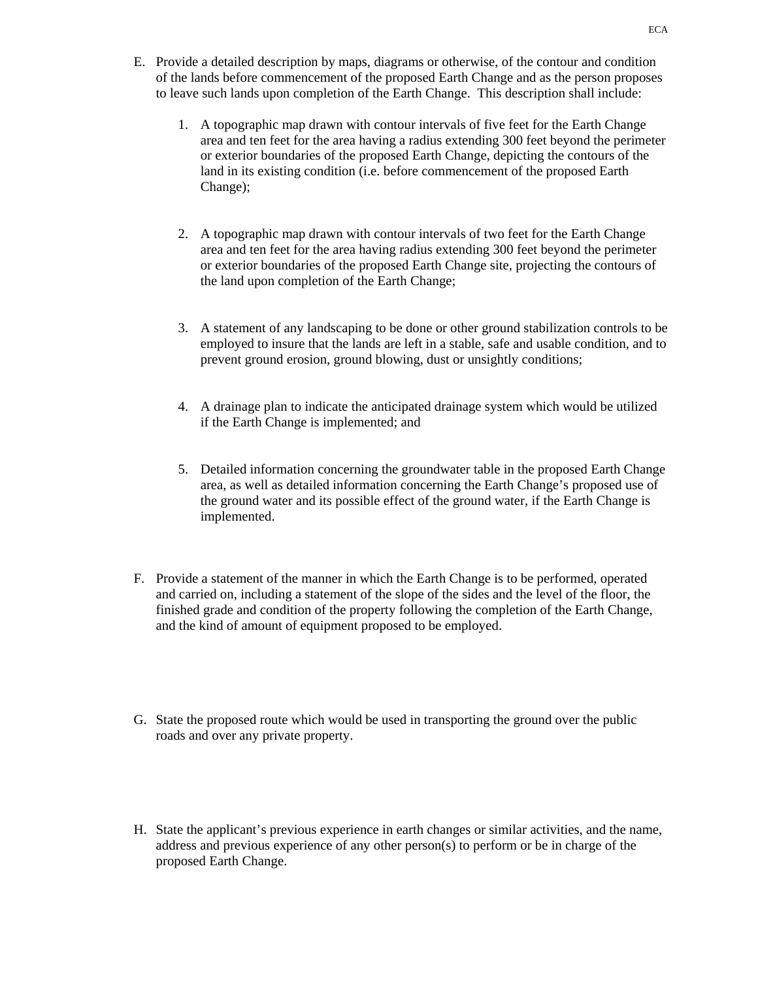- E. Provide a detailed description by maps, diagrams or otherwise, of the contour and condition of the lands before commencement of the proposed Earth Change and as the person proposes to leave such lands upon completion of the Earth Change. This description shall include:
	- 1. A topographic map drawn with contour intervals of five feet for the Earth Change area and ten feet for the area having a radius extending 300 feet beyond the perimeter or exterior boundaries of the proposed Earth Change, depicting the contours of the land in its existing condition (i.e. before commencement of the proposed Earth Change);
	- 2. A topographic map drawn with contour intervals of two feet for the Earth Change area and ten feet for the area having radius extending 300 feet beyond the perimeter or exterior boundaries of the proposed Earth Change site, projecting the contours of the land upon completion of the Earth Change;
	- 3. A statement of any landscaping to be done or other ground stabilization controls to be employed to insure that the lands are left in a stable, safe and usable condition, and to prevent ground erosion, ground blowing, dust or unsightly conditions;
	- 4. A drainage plan to indicate the anticipated drainage system which would be utilized if the Earth Change is implemented; and
	- 5. Detailed information concerning the groundwater table in the proposed Earth Change area, as well as detailed information concerning the Earth Change's proposed use of the ground water and its possible effect of the ground water, if the Earth Change is implemented.
- F. Provide a statement of the manner in which the Earth Change is to be performed, operated and carried on, including a statement of the slope of the sides and the level of the floor, the finished grade and condition of the property following the completion of the Earth Change, and the kind of amount of equipment proposed to be employed.
- G. State the proposed route which would be used in transporting the ground over the public roads and over any private property.
- H. State the applicant's previous experience in earth changes or similar activities, and the name, address and previous experience of any other person(s) to perform or be in charge of the proposed Earth Change.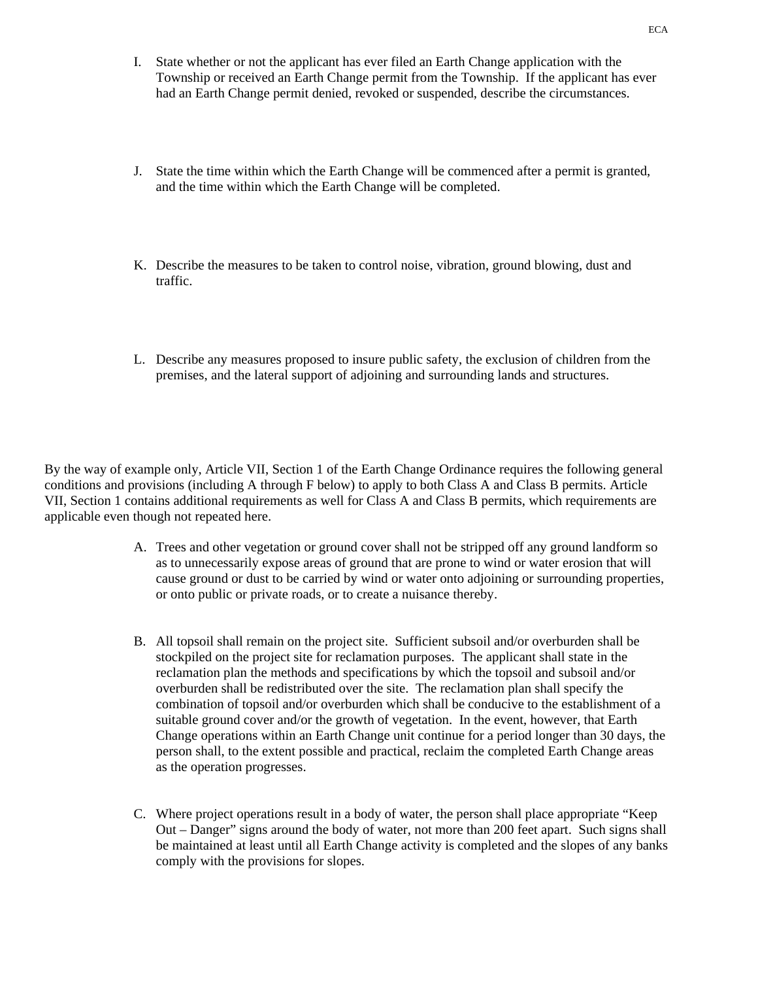- I. State whether or not the applicant has ever filed an Earth Change application with the Township or received an Earth Change permit from the Township. If the applicant has ever had an Earth Change permit denied, revoked or suspended, describe the circumstances.
- J. State the time within which the Earth Change will be commenced after a permit is granted, and the time within which the Earth Change will be completed.
- K. Describe the measures to be taken to control noise, vibration, ground blowing, dust and traffic.
- L. Describe any measures proposed to insure public safety, the exclusion of children from the premises, and the lateral support of adjoining and surrounding lands and structures.

By the way of example only, Article VII, Section 1 of the Earth Change Ordinance requires the following general conditions and provisions (including A through F below) to apply to both Class A and Class B permits. Article VII, Section 1 contains additional requirements as well for Class A and Class B permits, which requirements are applicable even though not repeated here.

- A. Trees and other vegetation or ground cover shall not be stripped off any ground landform so as to unnecessarily expose areas of ground that are prone to wind or water erosion that will cause ground or dust to be carried by wind or water onto adjoining or surrounding properties, or onto public or private roads, or to create a nuisance thereby.
- B. All topsoil shall remain on the project site. Sufficient subsoil and/or overburden shall be stockpiled on the project site for reclamation purposes. The applicant shall state in the reclamation plan the methods and specifications by which the topsoil and subsoil and/or overburden shall be redistributed over the site. The reclamation plan shall specify the combination of topsoil and/or overburden which shall be conducive to the establishment of a suitable ground cover and/or the growth of vegetation. In the event, however, that Earth Change operations within an Earth Change unit continue for a period longer than 30 days, the person shall, to the extent possible and practical, reclaim the completed Earth Change areas as the operation progresses.
- C. Where project operations result in a body of water, the person shall place appropriate "Keep Out – Danger" signs around the body of water, not more than 200 feet apart. Such signs shall be maintained at least until all Earth Change activity is completed and the slopes of any banks comply with the provisions for slopes.